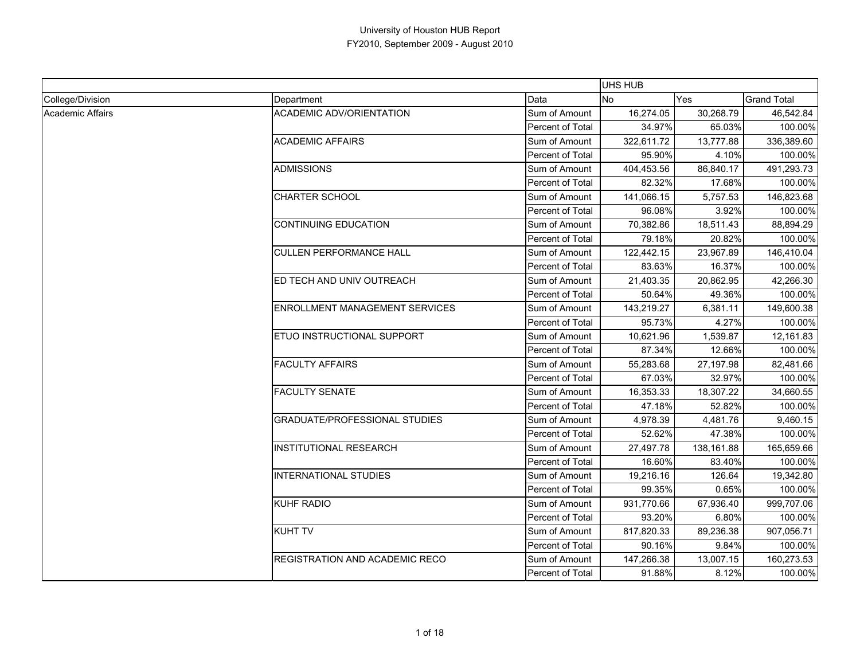|                  |                                       |                         | <b>UHS HUB</b> |            |                    |
|------------------|---------------------------------------|-------------------------|----------------|------------|--------------------|
| College/Division | Department                            | Data                    | No             | Yes        | <b>Grand Total</b> |
| Academic Affairs | <b>ACADEMIC ADV/ORIENTATION</b>       | Sum of Amount           | 16,274.05      | 30,268.79  | 46,542.84          |
|                  |                                       | Percent of Total        | 34.97%         | 65.03%     | 100.00%            |
|                  | <b>ACADEMIC AFFAIRS</b>               | Sum of Amount           | 322,611.72     | 13,777.88  | 336,389.60         |
|                  |                                       | Percent of Total        | 95.90%         | 4.10%      | 100.00%            |
|                  | <b>ADMISSIONS</b>                     | Sum of Amount           | 404,453.56     | 86,840.17  | 491,293.73         |
|                  |                                       | Percent of Total        | 82.32%         | 17.68%     | 100.00%            |
|                  | <b>CHARTER SCHOOL</b>                 | Sum of Amount           | 141,066.15     | 5,757.53   | 146,823.68         |
|                  |                                       | Percent of Total        | 96.08%         | 3.92%      | 100.00%            |
|                  | <b>CONTINUING EDUCATION</b>           | Sum of Amount           | 70,382.86      | 18,511.43  | 88,894.29          |
|                  |                                       | Percent of Total        | 79.18%         | 20.82%     | 100.00%            |
|                  | <b>CULLEN PERFORMANCE HALL</b>        | Sum of Amount           | 122,442.15     | 23,967.89  | 146,410.04         |
|                  |                                       | Percent of Total        | 83.63%         | 16.37%     | 100.00%            |
|                  | ED TECH AND UNIV OUTREACH             | Sum of Amount           | 21,403.35      | 20,862.95  | 42,266.30          |
|                  |                                       | Percent of Total        | 50.64%         | 49.36%     | 100.00%            |
|                  | <b>ENROLLMENT MANAGEMENT SERVICES</b> | Sum of Amount           | 143,219.27     | 6,381.11   | 149,600.38         |
|                  |                                       | Percent of Total        | 95.73%         | 4.27%      | 100.00%            |
|                  | ETUO INSTRUCTIONAL SUPPORT            | Sum of Amount           | 10,621.96      | 1,539.87   | 12,161.83          |
|                  |                                       | Percent of Total        | 87.34%         | 12.66%     | 100.00%            |
|                  | <b>FACULTY AFFAIRS</b>                | Sum of Amount           | 55,283.68      | 27,197.98  | 82,481.66          |
|                  |                                       | Percent of Total        | 67.03%         | 32.97%     | 100.00%            |
|                  | <b>FACULTY SENATE</b>                 | Sum of Amount           | 16,353.33      | 18,307.22  | 34,660.55          |
|                  |                                       | Percent of Total        | 47.18%         | 52.82%     | 100.00%            |
|                  | <b>GRADUATE/PROFESSIONAL STUDIES</b>  | Sum of Amount           | 4,978.39       | 4,481.76   | 9,460.15           |
|                  |                                       | Percent of Total        | 52.62%         | 47.38%     | 100.00%            |
|                  | <b>INSTITUTIONAL RESEARCH</b>         | Sum of Amount           | 27,497.78      | 138,161.88 | 165,659.66         |
|                  |                                       | Percent of Total        | 16.60%         | 83.40%     | 100.00%            |
|                  | <b>INTERNATIONAL STUDIES</b>          | Sum of Amount           | 19,216.16      | 126.64     | 19,342.80          |
|                  |                                       | Percent of Total        | 99.35%         | 0.65%      | 100.00%            |
|                  | <b>KUHF RADIO</b>                     | Sum of Amount           | 931,770.66     | 67,936.40  | 999,707.06         |
|                  |                                       | <b>Percent of Total</b> | 93.20%         | 6.80%      | 100.00%            |
|                  | <b>KUHT TV</b>                        | Sum of Amount           | 817,820.33     | 89,236.38  | 907,056.71         |
|                  |                                       | Percent of Total        | 90.16%         | 9.84%      | 100.00%            |
|                  | REGISTRATION AND ACADEMIC RECO        | Sum of Amount           | 147,266.38     | 13,007.15  | 160,273.53         |
|                  |                                       | Percent of Total        | 91.88%         | 8.12%      | 100.00%            |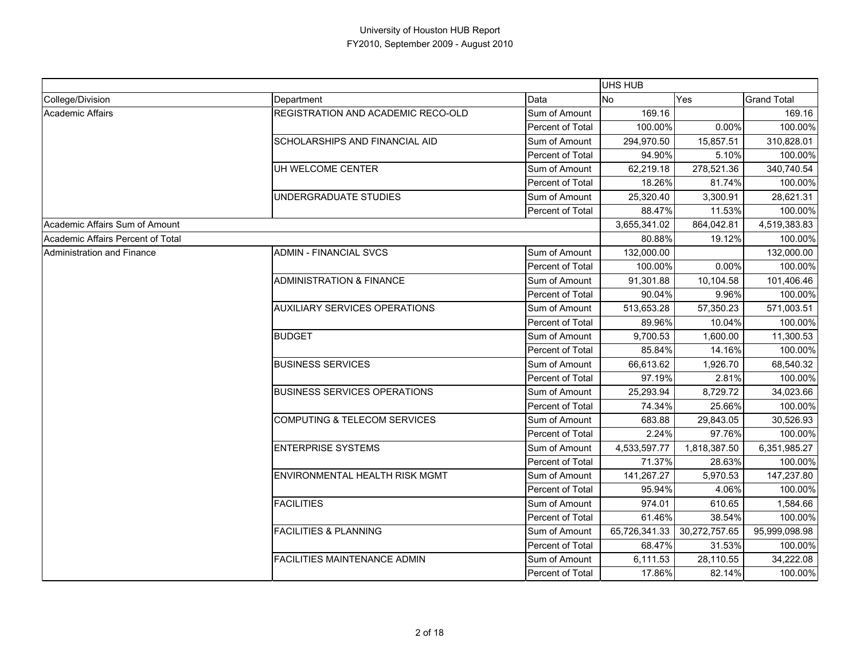|                                   |                                         |                  | <b>UHS HUB</b> |               |                    |
|-----------------------------------|-----------------------------------------|------------------|----------------|---------------|--------------------|
| College/Division                  | Department                              | Data             | No.            | Yes           | <b>Grand Total</b> |
| <b>Academic Affairs</b>           | REGISTRATION AND ACADEMIC RECO-OLD      | Sum of Amount    | 169.16         |               | 169.16             |
|                                   |                                         | Percent of Total | 100.00%        | $0.00\%$      | 100.00%            |
|                                   | <b>SCHOLARSHIPS AND FINANCIAL AID</b>   | Sum of Amount    | 294,970.50     | 15,857.51     | 310,828.01         |
|                                   |                                         | Percent of Total | 94.90%         | 5.10%         | 100.00%            |
|                                   | UH WELCOME CENTER                       | Sum of Amount    | 62,219.18      | 278,521.36    | 340,740.54         |
|                                   |                                         | Percent of Total | 18.26%         | 81.74%        | 100.00%            |
|                                   | UNDERGRADUATE STUDIES                   | Sum of Amount    | 25,320.40      | 3,300.91      | 28,621.31          |
|                                   |                                         | Percent of Total | 88.47%         | 11.53%        | 100.00%            |
| Academic Affairs Sum of Amount    |                                         |                  | 3,655,341.02   | 864,042.81    | 4,519,383.83       |
| Academic Affairs Percent of Total |                                         |                  | 80.88%         | 19.12%        | 100.00%            |
| Administration and Finance        | <b>ADMIN - FINANCIAL SVCS</b>           | Sum of Amount    | 132,000.00     |               | 132,000.00         |
|                                   |                                         | Percent of Total | 100.00%        | 0.00%         | 100.00%            |
|                                   | <b>ADMINISTRATION &amp; FINANCE</b>     | Sum of Amount    | 91,301.88      | 10,104.58     | 101,406.46         |
|                                   |                                         | Percent of Total | 90.04%         | 9.96%         | 100.00%            |
|                                   | <b>AUXILIARY SERVICES OPERATIONS</b>    | Sum of Amount    | 513,653.28     | 57,350.23     | 571,003.51         |
|                                   |                                         | Percent of Total | 89.96%         | 10.04%        | 100.00%            |
|                                   | <b>BUDGET</b>                           | Sum of Amount    | 9,700.53       | 1,600.00      | 11,300.53          |
|                                   |                                         | Percent of Total | 85.84%         | 14.16%        | 100.00%            |
|                                   | <b>BUSINESS SERVICES</b>                | Sum of Amount    | 66,613.62      | 1,926.70      | 68,540.32          |
|                                   |                                         | Percent of Total | 97.19%         | 2.81%         | 100.00%            |
|                                   | <b>BUSINESS SERVICES OPERATIONS</b>     | Sum of Amount    | 25,293.94      | 8,729.72      | 34,023.66          |
|                                   |                                         | Percent of Total | 74.34%         | 25.66%        | 100.00%            |
|                                   | <b>COMPUTING &amp; TELECOM SERVICES</b> | Sum of Amount    | 683.88         | 29,843.05     | 30,526.93          |
|                                   |                                         | Percent of Total | 2.24%          | 97.76%        | 100.00%            |
|                                   | <b>ENTERPRISE SYSTEMS</b>               | Sum of Amount    | 4,533,597.77   | 1,818,387.50  | 6,351,985.27       |
|                                   |                                         | Percent of Total | 71.37%         | 28.63%        | 100.00%            |
|                                   | ENVIRONMENTAL HEALTH RISK MGMT          | Sum of Amount    | 141,267.27     | 5,970.53      | 147,237.80         |
|                                   |                                         | Percent of Total | 95.94%         | 4.06%         | 100.00%            |
|                                   | <b>FACILITIES</b>                       | Sum of Amount    | 974.01         | 610.65        | 1,584.66           |
|                                   |                                         | Percent of Total | 61.46%         | 38.54%        | 100.00%            |
|                                   | <b>FACILITIES &amp; PLANNING</b>        | Sum of Amount    | 65,726,341.33  | 30,272,757.65 | 95,999,098.98      |
|                                   |                                         | Percent of Total | 68.47%         | 31.53%        | 100.00%            |
|                                   | <b>FACILITIES MAINTENANCE ADMIN</b>     | Sum of Amount    | 6,111.53       | 28,110.55     | 34,222.08          |
|                                   |                                         | Percent of Total | 17.86%         | 82.14%        | 100.00%            |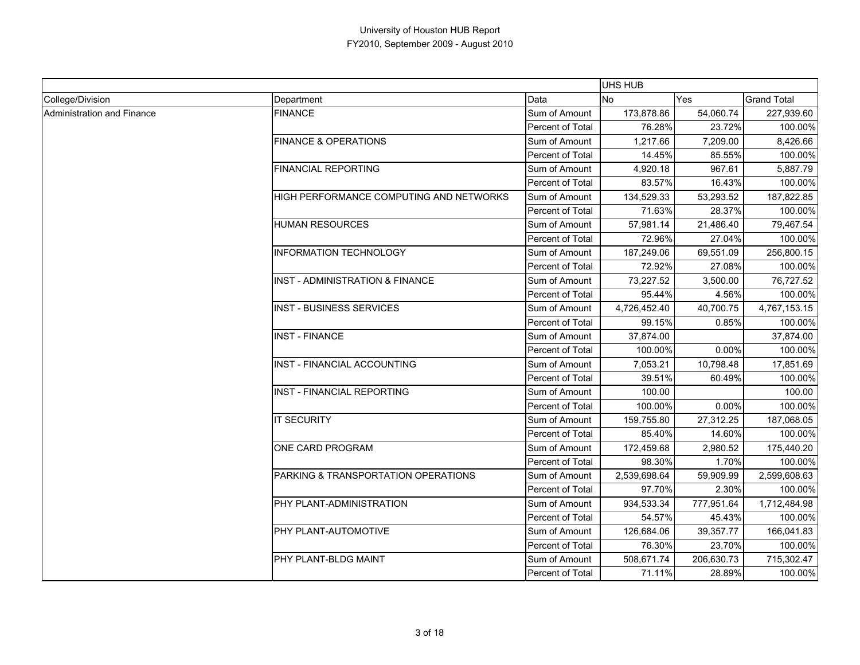|                            |                                            |                         | UHS HUB      |            |                    |
|----------------------------|--------------------------------------------|-------------------------|--------------|------------|--------------------|
| College/Division           | Department                                 | Data                    | No           | <b>Yes</b> | <b>Grand Total</b> |
| Administration and Finance | <b>FINANCE</b>                             | Sum of Amount           | 173,878.86   | 54,060.74  | 227,939.60         |
|                            |                                            | Percent of Total        | 76.28%       | 23.72%     | 100.00%            |
|                            | <b>FINANCE &amp; OPERATIONS</b>            | Sum of Amount           | 1,217.66     | 7,209.00   | 8,426.66           |
|                            |                                            | Percent of Total        | 14.45%       | 85.55%     | 100.00%            |
|                            | <b>FINANCIAL REPORTING</b>                 | Sum of Amount           | 4,920.18     | 967.61     | 5,887.79           |
|                            |                                            | Percent of Total        | 83.57%       | 16.43%     | 100.00%            |
|                            | HIGH PERFORMANCE COMPUTING AND NETWORKS    | Sum of Amount           | 134,529.33   | 53,293.52  | 187,822.85         |
|                            |                                            | Percent of Total        | 71.63%       | 28.37%     | 100.00%            |
|                            | <b>HUMAN RESOURCES</b>                     | Sum of Amount           | 57,981.14    | 21,486.40  | 79,467.54          |
|                            |                                            | Percent of Total        | 72.96%       | 27.04%     | 100.00%            |
|                            | <b>INFORMATION TECHNOLOGY</b>              | Sum of Amount           | 187,249.06   | 69,551.09  | 256,800.15         |
|                            |                                            | Percent of Total        | 72.92%       | 27.08%     | 100.00%            |
|                            | <b>INST - ADMINISTRATION &amp; FINANCE</b> | Sum of Amount           | 73,227.52    | 3,500.00   | 76,727.52          |
|                            |                                            | Percent of Total        | 95.44%       | 4.56%      | 100.00%            |
|                            | <b>INST - BUSINESS SERVICES</b>            | Sum of Amount           | 4,726,452.40 | 40,700.75  | 4,767,153.15       |
|                            |                                            | Percent of Total        | 99.15%       | 0.85%      | 100.00%            |
|                            | <b>INST - FINANCE</b>                      | Sum of Amount           | 37,874.00    |            | 37,874.00          |
|                            |                                            | <b>Percent of Total</b> | 100.00%      | 0.00%      | 100.00%            |
|                            | <b>INST - FINANCIAL ACCOUNTING</b>         | Sum of Amount           | 7,053.21     | 10,798.48  | 17,851.69          |
|                            |                                            | <b>Percent of Total</b> | 39.51%       | 60.49%     | 100.00%            |
|                            | <b>INST - FINANCIAL REPORTING</b>          | Sum of Amount           | 100.00       |            | 100.00             |
|                            |                                            | Percent of Total        | 100.00%      | 0.00%      | 100.00%            |
|                            | <b>IT SECURITY</b>                         | Sum of Amount           | 159,755.80   | 27,312.25  | 187,068.05         |
|                            |                                            | Percent of Total        | 85.40%       | 14.60%     | 100.00%            |
|                            | ONE CARD PROGRAM                           | Sum of Amount           | 172,459.68   | 2,980.52   | 175,440.20         |
|                            |                                            | Percent of Total        | 98.30%       | 1.70%      | 100.00%            |
|                            | PARKING & TRANSPORTATION OPERATIONS        | Sum of Amount           | 2,539,698.64 | 59,909.99  | 2,599,608.63       |
|                            |                                            | Percent of Total        | 97.70%       | 2.30%      | 100.00%            |
|                            | PHY PLANT-ADMINISTRATION                   | Sum of Amount           | 934,533.34   | 777,951.64 | 1,712,484.98       |
|                            |                                            | Percent of Total        | 54.57%       | 45.43%     | 100.00%            |
|                            | PHY PLANT-AUTOMOTIVE                       | Sum of Amount           | 126,684.06   | 39,357.77  | 166,041.83         |
|                            |                                            | Percent of Total        | 76.30%       | 23.70%     | 100.00%            |
|                            | PHY PLANT-BLDG MAINT                       | Sum of Amount           | 508,671.74   | 206,630.73 | 715,302.47         |
|                            |                                            | Percent of Total        | 71.11%       | 28.89%     | 100.00%            |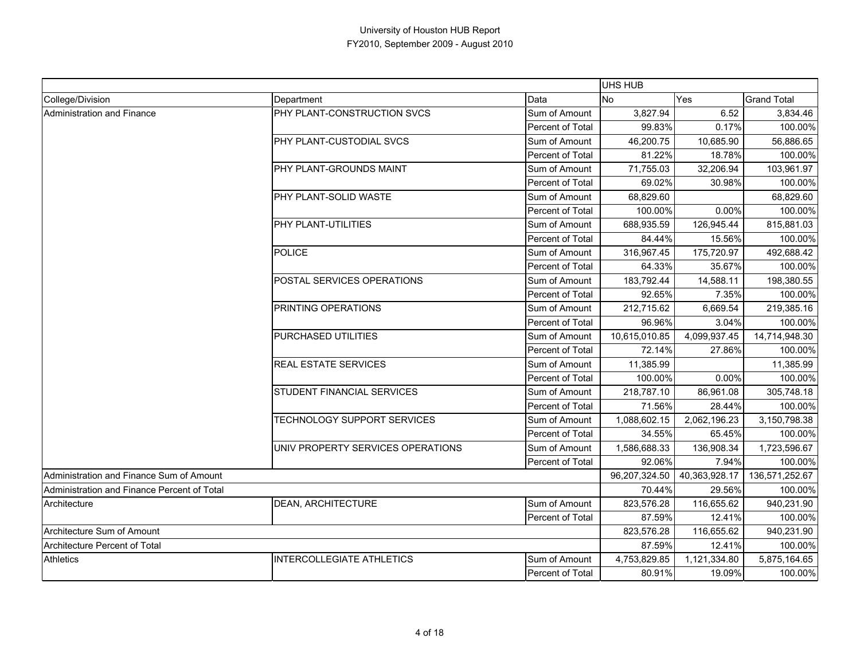|                                             |                                   |                         | UHS HUB       |               |                    |
|---------------------------------------------|-----------------------------------|-------------------------|---------------|---------------|--------------------|
| College/Division                            | Department                        | Data                    | <b>No</b>     | Yes           | <b>Grand Total</b> |
| Administration and Finance                  | PHY PLANT-CONSTRUCTION SVCS       | Sum of Amount           | 3,827.94      | 6.52          | 3,834.46           |
|                                             |                                   | Percent of Total        | 99.83%        | 0.17%         | 100.00%            |
|                                             | PHY PLANT-CUSTODIAL SVCS          | Sum of Amount           | 46,200.75     | 10,685.90     | 56,886.65          |
|                                             |                                   | Percent of Total        | 81.22%        | 18.78%        | 100.00%            |
|                                             | PHY PLANT-GROUNDS MAINT           | Sum of Amount           | 71,755.03     | 32,206.94     | 103,961.97         |
|                                             |                                   | <b>Percent of Total</b> | 69.02%        | 30.98%        | 100.00%            |
|                                             | PHY PLANT-SOLID WASTE             | Sum of Amount           | 68,829.60     |               | 68,829.60          |
|                                             |                                   | Percent of Total        | 100.00%       | 0.00%         | 100.00%            |
|                                             | PHY PLANT-UTILITIES               | Sum of Amount           | 688,935.59    | 126,945.44    | 815,881.03         |
|                                             |                                   | Percent of Total        | 84.44%        | 15.56%        | 100.00%            |
|                                             | <b>POLICE</b>                     | Sum of Amount           | 316,967.45    | 175,720.97    | 492,688.42         |
|                                             |                                   | Percent of Total        | 64.33%        | 35.67%        | 100.00%            |
|                                             | POSTAL SERVICES OPERATIONS        | Sum of Amount           | 183,792.44    | 14,588.11     | 198,380.55         |
|                                             |                                   | Percent of Total        | 92.65%        | 7.35%         | 100.00%            |
|                                             | PRINTING OPERATIONS               | Sum of Amount           | 212,715.62    | 6,669.54      | 219,385.16         |
|                                             |                                   | Percent of Total        | 96.96%        | 3.04%         | 100.00%            |
|                                             | PURCHASED UTILITIES               | Sum of Amount           | 10,615,010.85 | 4,099,937.45  | 14,714,948.30      |
|                                             |                                   | Percent of Total        | 72.14%        | 27.86%        | 100.00%            |
|                                             | REAL ESTATE SERVICES              | Sum of Amount           | 11,385.99     |               | 11,385.99          |
|                                             |                                   | Percent of Total        | 100.00%       | 0.00%         | 100.00%            |
|                                             | <b>STUDENT FINANCIAL SERVICES</b> | Sum of Amount           | 218,787.10    | 86,961.08     | 305,748.18         |
|                                             |                                   | Percent of Total        | 71.56%        | 28.44%        | 100.00%            |
|                                             | TECHNOLOGY SUPPORT SERVICES       | Sum of Amount           | 1,088,602.15  | 2,062,196.23  | 3,150,798.38       |
|                                             |                                   | Percent of Total        | 34.55%        | 65.45%        | 100.00%            |
|                                             | UNIV PROPERTY SERVICES OPERATIONS | Sum of Amount           | 1,586,688.33  | 136,908.34    | 1,723,596.67       |
|                                             |                                   | Percent of Total        | 92.06%        | 7.94%         | 100.00%            |
| Administration and Finance Sum of Amount    |                                   |                         | 96,207,324.50 | 40,363,928.17 | 136,571,252.67     |
| Administration and Finance Percent of Total |                                   |                         | 70.44%        | 29.56%        | 100.00%            |
| Architecture                                | <b>DEAN, ARCHITECTURE</b>         | Sum of Amount           | 823,576.28    | 116,655.62    | 940,231.90         |
|                                             |                                   | Percent of Total        | 87.59%        | 12.41%        | 100.00%            |
| Architecture Sum of Amount                  |                                   |                         | 823,576.28    | 116,655.62    | 940,231.90         |
| Architecture Percent of Total               |                                   |                         | 87.59%        | 12.41%        | 100.00%            |
| <b>Athletics</b>                            | <b>INTERCOLLEGIATE ATHLETICS</b>  | Sum of Amount           | 4,753,829.85  | 1,121,334.80  | 5,875,164.65       |
|                                             |                                   | <b>Percent of Total</b> | 80.91%        | 19.09%        | 100.00%            |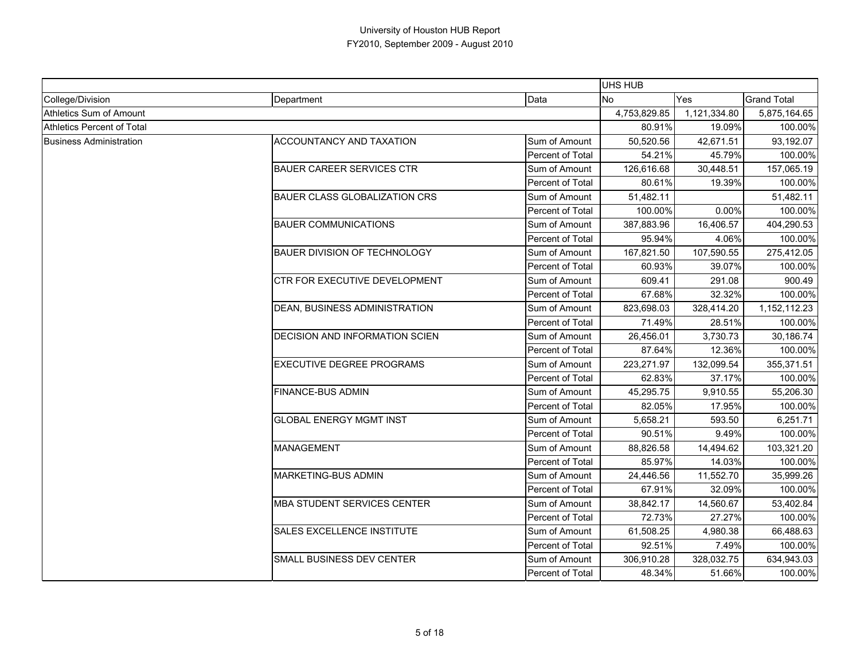|                                |                                       |                  | <b>UHS HUB</b> |              |                    |
|--------------------------------|---------------------------------------|------------------|----------------|--------------|--------------------|
| College/Division               | Department                            | Data             | <b>No</b>      | Yes          | <b>Grand Total</b> |
| Athletics Sum of Amount        |                                       |                  | 4,753,829.85   | 1,121,334.80 | 5,875,164.65       |
| Athletics Percent of Total     |                                       |                  | 80.91%         | 19.09%       | 100.00%            |
| <b>Business Administration</b> | ACCOUNTANCY AND TAXATION              | Sum of Amount    | 50,520.56      | 42,671.51    | 93,192.07          |
|                                |                                       | Percent of Total | 54.21%         | 45.79%       | 100.00%            |
|                                | <b>BAUER CAREER SERVICES CTR</b>      | Sum of Amount    | 126,616.68     | 30,448.51    | 157,065.19         |
|                                |                                       | Percent of Total | 80.61%         | 19.39%       | 100.00%            |
|                                | <b>BAUER CLASS GLOBALIZATION CRS</b>  | Sum of Amount    | 51,482.11      |              | 51,482.11          |
|                                |                                       | Percent of Total | 100.00%        | 0.00%        | 100.00%            |
|                                | <b>BAUER COMMUNICATIONS</b>           | Sum of Amount    | 387,883.96     | 16,406.57    | 404,290.53         |
|                                |                                       | Percent of Total | 95.94%         | 4.06%        | 100.00%            |
|                                | <b>BAUER DIVISION OF TECHNOLOGY</b>   | Sum of Amount    | 167,821.50     | 107,590.55   | 275,412.05         |
|                                |                                       | Percent of Total | 60.93%         | 39.07%       | 100.00%            |
|                                | CTR FOR EXECUTIVE DEVELOPMENT         | Sum of Amount    | 609.41         | 291.08       | 900.49             |
|                                |                                       | Percent of Total | 67.68%         | 32.32%       | 100.00%            |
|                                | DEAN, BUSINESS ADMINISTRATION         | Sum of Amount    | 823,698.03     | 328,414.20   | 1,152,112.23       |
|                                |                                       | Percent of Total | 71.49%         | 28.51%       | 100.00%            |
|                                | <b>DECISION AND INFORMATION SCIEN</b> | Sum of Amount    | 26,456.01      | 3,730.73     | 30,186.74          |
|                                |                                       | Percent of Total | 87.64%         | 12.36%       | 100.00%            |
|                                | <b>EXECUTIVE DEGREE PROGRAMS</b>      | Sum of Amount    | 223,271.97     | 132,099.54   | 355,371.51         |
|                                |                                       | Percent of Total | 62.83%         | 37.17%       | 100.00%            |
|                                | <b>FINANCE-BUS ADMIN</b>              | Sum of Amount    | 45,295.75      | 9,910.55     | 55,206.30          |
|                                |                                       | Percent of Total | 82.05%         | 17.95%       | 100.00%            |
|                                | <b>GLOBAL ENERGY MGMT INST</b>        | Sum of Amount    | 5,658.21       | 593.50       | 6,251.71           |
|                                |                                       | Percent of Total | 90.51%         | 9.49%        | 100.00%            |
|                                | <b>MANAGEMENT</b>                     | Sum of Amount    | 88,826.58      | 14,494.62    | 103,321.20         |
|                                |                                       | Percent of Total | 85.97%         | 14.03%       | 100.00%            |
|                                | MARKETING-BUS ADMIN                   | Sum of Amount    | 24,446.56      | 11,552.70    | 35,999.26          |
|                                |                                       | Percent of Total | 67.91%         | 32.09%       | 100.00%            |
|                                | <b>MBA STUDENT SERVICES CENTER</b>    | Sum of Amount    | 38,842.17      | 14,560.67    | 53,402.84          |
|                                |                                       | Percent of Total | 72.73%         | 27.27%       | 100.00%            |
|                                | <b>SALES EXCELLENCE INSTITUTE</b>     | Sum of Amount    | 61,508.25      | 4,980.38     | 66,488.63          |
|                                |                                       | Percent of Total | 92.51%         | 7.49%        | 100.00%            |
|                                | SMALL BUSINESS DEV CENTER             | Sum of Amount    | 306,910.28     | 328,032.75   | 634,943.03         |
|                                |                                       | Percent of Total | 48.34%         | 51.66%       | 100.00%            |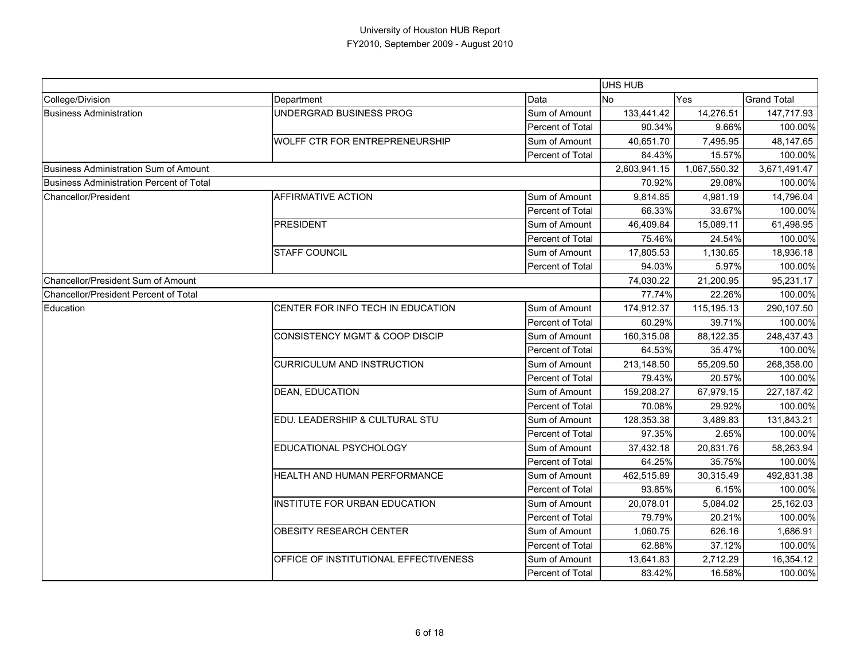|                                              |                                           |                  | <b>UHS HUB</b> |              |                    |
|----------------------------------------------|-------------------------------------------|------------------|----------------|--------------|--------------------|
| College/Division                             | Department                                | Data             | <b>No</b>      | Yes          | <b>Grand Total</b> |
| <b>Business Administration</b>               | UNDERGRAD BUSINESS PROG                   | Sum of Amount    | 133,441.42     | 14,276.51    | 147,717.93         |
|                                              |                                           | Percent of Total | 90.34%         | 9.66%        | 100.00%            |
|                                              | <b>WOLFF CTR FOR ENTREPRENEURSHIP</b>     | Sum of Amount    | 40.651.70      | 7,495.95     | 48,147.65          |
|                                              |                                           | Percent of Total | 84.43%         | 15.57%       | 100.00%            |
| Business Administration Sum of Amount        |                                           |                  | 2,603,941.15   | 1,067,550.32 | 3,671,491.47       |
| Business Administration Percent of Total     |                                           |                  | 70.92%         | 29.08%       | 100.00%            |
| Chancellor/President                         | <b>AFFIRMATIVE ACTION</b>                 | Sum of Amount    | 9,814.85       | 4,981.19     | 14,796.04          |
|                                              |                                           | Percent of Total | 66.33%         | 33.67%       | 100.00%            |
|                                              | <b>PRESIDENT</b>                          | Sum of Amount    | 46,409.84      | 15,089.11    | 61,498.95          |
|                                              |                                           | Percent of Total | 75.46%         | 24.54%       | 100.00%            |
|                                              | <b>STAFF COUNCIL</b>                      | Sum of Amount    | 17,805.53      | 1,130.65     | 18,936.18          |
|                                              |                                           | Percent of Total | 94.03%         | 5.97%        | 100.00%            |
| Chancellor/President Sum of Amount           |                                           |                  | 74,030.22      | 21,200.95    | 95,231.17          |
| <b>Chancellor/President Percent of Total</b> |                                           |                  | 77.74%         | 22.26%       | 100.00%            |
| Education                                    | CENTER FOR INFO TECH IN EDUCATION         | Sum of Amount    | 174,912.37     | 115,195.13   | 290,107.50         |
|                                              |                                           | Percent of Total | 60.29%         | 39.71%       | 100.00%            |
|                                              | <b>CONSISTENCY MGMT &amp; COOP DISCIP</b> | Sum of Amount    | 160,315.08     | 88,122.35    | 248,437.43         |
|                                              |                                           | Percent of Total | 64.53%         | 35.47%       | 100.00%            |
|                                              | <b>CURRICULUM AND INSTRUCTION</b>         | Sum of Amount    | 213,148.50     | 55,209.50    | 268,358.00         |
|                                              |                                           | Percent of Total | 79.43%         | 20.57%       | 100.00%            |
|                                              | <b>DEAN, EDUCATION</b>                    | Sum of Amount    | 159,208.27     | 67,979.15    | 227, 187.42        |
|                                              |                                           | Percent of Total | 70.08%         | 29.92%       | 100.00%            |
|                                              | EDU. LEADERSHIP & CULTURAL STU            | Sum of Amount    | 128,353.38     | 3,489.83     | 131,843.21         |
|                                              |                                           | Percent of Total | 97.35%         | 2.65%        | 100.00%            |
|                                              | EDUCATIONAL PSYCHOLOGY                    | Sum of Amount    | 37,432.18      | 20,831.76    | 58,263.94          |
|                                              |                                           | Percent of Total | 64.25%         | 35.75%       | 100.00%            |
|                                              | HEALTH AND HUMAN PERFORMANCE              | Sum of Amount    | 462,515.89     | 30,315.49    | 492,831.38         |
|                                              |                                           | Percent of Total | 93.85%         | 6.15%        | 100.00%            |
|                                              | INSTITUTE FOR URBAN EDUCATION             | Sum of Amount    | 20,078.01      | 5,084.02     | 25,162.03          |
|                                              |                                           | Percent of Total | 79.79%         | 20.21%       | 100.00%            |
|                                              | OBESITY RESEARCH CENTER                   | Sum of Amount    | 1,060.75       | 626.16       | 1,686.91           |
|                                              |                                           | Percent of Total | 62.88%         | 37.12%       | 100.00%            |
|                                              | OFFICE OF INSTITUTIONAL EFFECTIVENESS     | Sum of Amount    | 13,641.83      | 2,712.29     | 16,354.12          |
|                                              |                                           | Percent of Total | 83.42%         | 16.58%       | 100.00%            |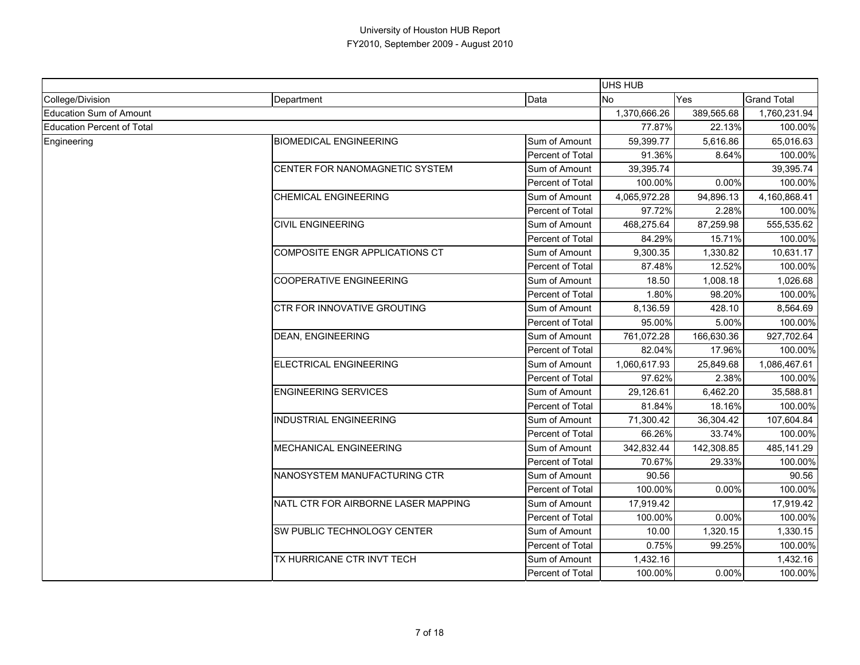|                                   |                                     |                  | UHS HUB      |            |                    |
|-----------------------------------|-------------------------------------|------------------|--------------|------------|--------------------|
| College/Division                  | Department                          | Data             | No.          | Yes        | <b>Grand Total</b> |
| <b>Education Sum of Amount</b>    |                                     |                  | 1,370,666.26 | 389,565.68 | 1,760,231.94       |
| <b>Education Percent of Total</b> |                                     |                  | 77.87%       | 22.13%     | 100.00%            |
| Engineering                       | <b>BIOMEDICAL ENGINEERING</b>       | Sum of Amount    | 59,399.77    | 5,616.86   | 65,016.63          |
|                                   |                                     | Percent of Total | 91.36%       | 8.64%      | 100.00%            |
|                                   | CENTER FOR NANOMAGNETIC SYSTEM      | Sum of Amount    | 39.395.74    |            | 39,395.74          |
|                                   |                                     | Percent of Total | 100.00%      | 0.00%      | 100.00%            |
|                                   | <b>CHEMICAL ENGINEERING</b>         | Sum of Amount    | 4,065,972.28 | 94,896.13  | 4,160,868.41       |
|                                   |                                     | Percent of Total | 97.72%       | 2.28%      | 100.00%            |
|                                   | <b>CIVIL ENGINEERING</b>            | Sum of Amount    | 468,275.64   | 87,259.98  | 555,535.62         |
|                                   |                                     | Percent of Total | 84.29%       | 15.71%     | 100.00%            |
|                                   | COMPOSITE ENGR APPLICATIONS CT      | Sum of Amount    | 9,300.35     | 1,330.82   | 10,631.17          |
|                                   |                                     | Percent of Total | 87.48%       | 12.52%     | 100.00%            |
|                                   | <b>COOPERATIVE ENGINEERING</b>      | Sum of Amount    | 18.50        | 1,008.18   | 1,026.68           |
|                                   |                                     | Percent of Total | 1.80%        | 98.20%     | 100.00%            |
|                                   | CTR FOR INNOVATIVE GROUTING         | Sum of Amount    | 8,136.59     | 428.10     | 8,564.69           |
|                                   |                                     | Percent of Total | 95.00%       | 5.00%      | 100.00%            |
|                                   | <b>DEAN, ENGINEERING</b>            | Sum of Amount    | 761,072.28   | 166,630.36 | 927,702.64         |
|                                   |                                     | Percent of Total | 82.04%       | 17.96%     | 100.00%            |
|                                   | ELECTRICAL ENGINEERING              | Sum of Amount    | 1,060,617.93 | 25.849.68  | 1,086,467.61       |
|                                   |                                     | Percent of Total | 97.62%       | 2.38%      | 100.00%            |
|                                   | <b>ENGINEERING SERVICES</b>         | Sum of Amount    | 29,126.61    | 6,462.20   | 35,588.81          |
|                                   |                                     | Percent of Total | 81.84%       | 18.16%     | 100.00%            |
|                                   | <b>INDUSTRIAL ENGINEERING</b>       | Sum of Amount    | 71,300.42    | 36,304.42  | 107,604.84         |
|                                   |                                     | Percent of Total | 66.26%       | 33.74%     | 100.00%            |
|                                   | <b>MECHANICAL ENGINEERING</b>       | Sum of Amount    | 342,832.44   | 142,308.85 | 485,141.29         |
|                                   |                                     | Percent of Total | 70.67%       | 29.33%     | 100.00%            |
|                                   | NANOSYSTEM MANUFACTURING CTR        | Sum of Amount    | 90.56        |            | 90.56              |
|                                   |                                     | Percent of Total | 100.00%      | 0.00%      | 100.00%            |
|                                   | NATL CTR FOR AIRBORNE LASER MAPPING | Sum of Amount    | 17,919.42    |            | 17,919.42          |
|                                   |                                     | Percent of Total | 100.00%      | 0.00%      | 100.00%            |
|                                   | SW PUBLIC TECHNOLOGY CENTER         | Sum of Amount    | 10.00        | 1,320.15   | 1,330.15           |
|                                   |                                     | Percent of Total | 0.75%        | 99.25%     | 100.00%            |
|                                   | TX HURRICANE CTR INVT TECH          | Sum of Amount    | 1,432.16     |            | 1,432.16           |
|                                   |                                     | Percent of Total | 100.00%      | 0.00%      | 100.00%            |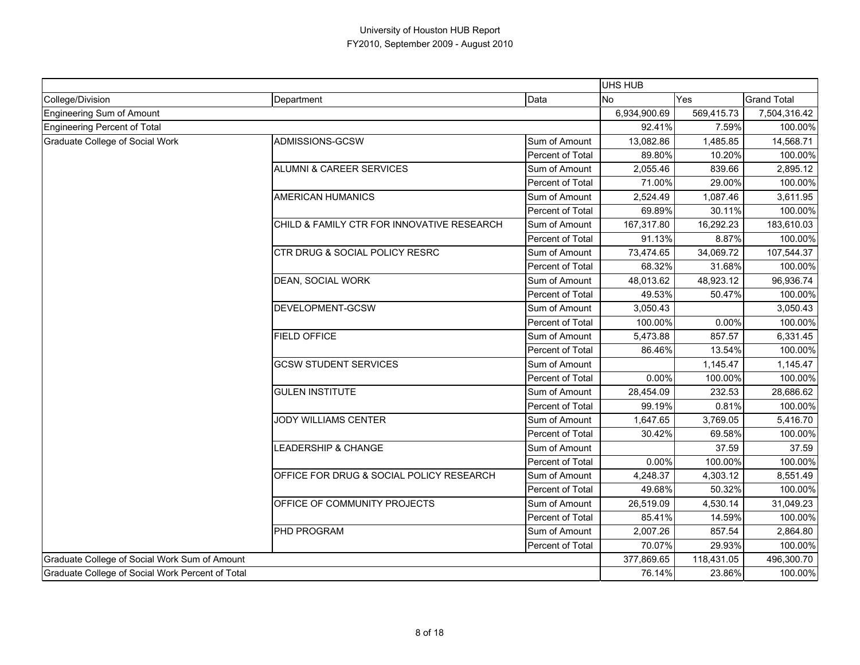|                                                  |                                            |                         | <b>UHS HUB</b> |            |                    |
|--------------------------------------------------|--------------------------------------------|-------------------------|----------------|------------|--------------------|
| College/Division                                 | Department                                 | Data                    | <b>No</b>      | Yes        | <b>Grand Total</b> |
| Engineering Sum of Amount                        |                                            |                         | 6,934,900.69   | 569,415.73 | 7,504,316.42       |
| <b>Engineering Percent of Total</b>              |                                            | 92.41%                  | 7.59%          | 100.00%    |                    |
| Graduate College of Social Work                  | ADMISSIONS-GCSW                            | Sum of Amount           | 13,082.86      | 1,485.85   | 14,568.71          |
|                                                  |                                            | Percent of Total        | 89.80%         | 10.20%     | 100.00%            |
|                                                  | <b>ALUMNI &amp; CAREER SERVICES</b>        | Sum of Amount           | 2,055.46       | 839.66     | 2,895.12           |
|                                                  |                                            | <b>Percent of Total</b> | 71.00%         | 29.00%     | 100.00%            |
|                                                  | <b>AMERICAN HUMANICS</b>                   | Sum of Amount           | 2,524.49       | 1,087.46   | 3,611.95           |
|                                                  |                                            | Percent of Total        | 69.89%         | 30.11%     | 100.00%            |
|                                                  | CHILD & FAMILY CTR FOR INNOVATIVE RESEARCH | Sum of Amount           | 167,317.80     | 16,292.23  | 183,610.03         |
|                                                  |                                            | Percent of Total        | 91.13%         | 8.87%      | 100.00%            |
|                                                  | CTR DRUG & SOCIAL POLICY RESRC             | Sum of Amount           | 73,474.65      | 34,069.72  | 107,544.37         |
|                                                  |                                            | Percent of Total        | 68.32%         | 31.68%     | 100.00%            |
|                                                  | DEAN, SOCIAL WORK                          | Sum of Amount           | 48,013.62      | 48,923.12  | 96,936.74          |
|                                                  |                                            | Percent of Total        | 49.53%         | 50.47%     | 100.00%            |
|                                                  | DEVELOPMENT-GCSW                           | Sum of Amount           | 3,050.43       |            | 3,050.43           |
|                                                  |                                            | Percent of Total        | 100.00%        | 0.00%      | 100.00%            |
|                                                  | <b>FIELD OFFICE</b>                        | Sum of Amount           | 5,473.88       | 857.57     | 6,331.45           |
|                                                  |                                            | Percent of Total        | 86.46%         | 13.54%     | 100.00%            |
|                                                  | <b>GCSW STUDENT SERVICES</b>               | Sum of Amount           |                | 1,145.47   | 1,145.47           |
|                                                  |                                            | Percent of Total        | 0.00%          | 100.00%    | 100.00%            |
|                                                  | <b>GULEN INSTITUTE</b>                     | Sum of Amount           | 28,454.09      | 232.53     | 28,686.62          |
|                                                  |                                            | Percent of Total        | 99.19%         | 0.81%      | 100.00%            |
|                                                  | <b>JODY WILLIAMS CENTER</b>                | Sum of Amount           | 1,647.65       | 3,769.05   | 5,416.70           |
|                                                  |                                            | Percent of Total        | 30.42%         | 69.58%     | 100.00%            |
|                                                  | <b>EADERSHIP &amp; CHANGE</b>              | Sum of Amount           |                | 37.59      | 37.59              |
|                                                  |                                            | Percent of Total        | 0.00%          | 100.00%    | 100.00%            |
|                                                  | OFFICE FOR DRUG & SOCIAL POLICY RESEARCH   | Sum of Amount           | 4,248.37       | 4,303.12   | 8,551.49           |
|                                                  |                                            | Percent of Total        | 49.68%         | 50.32%     | 100.00%            |
|                                                  | OFFICE OF COMMUNITY PROJECTS               | Sum of Amount           | 26,519.09      | 4,530.14   | 31,049.23          |
|                                                  |                                            | Percent of Total        | 85.41%         | 14.59%     | 100.00%            |
|                                                  | <b>PHD PROGRAM</b>                         | Sum of Amount           | 2,007.26       | 857.54     | 2,864.80           |
|                                                  |                                            | Percent of Total        | 70.07%         | 29.93%     | 100.00%            |
| Graduate College of Social Work Sum of Amount    |                                            |                         | 377,869.65     | 118,431.05 | 496,300.70         |
| Graduate College of Social Work Percent of Total |                                            |                         | 76.14%         | 23.86%     | 100.00%            |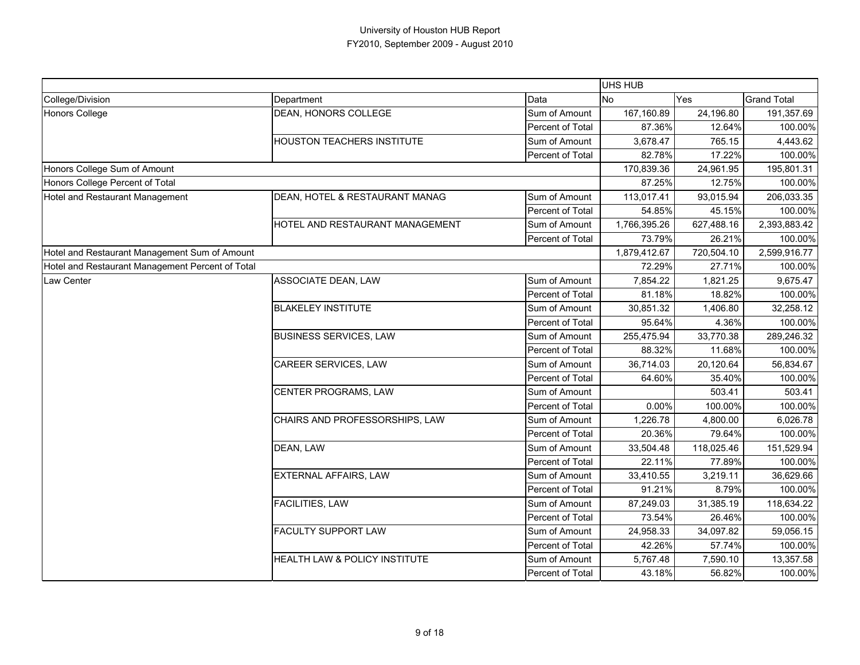|                                                  |                                   |                  | <b>UHS HUB</b> |            |                    |
|--------------------------------------------------|-----------------------------------|------------------|----------------|------------|--------------------|
| College/Division                                 | Department                        | Data             | <b>No</b>      | Yes        | <b>Grand Total</b> |
| Honors College                                   | DEAN, HONORS COLLEGE              | Sum of Amount    | 167,160.89     | 24,196.80  | 191,357.69         |
|                                                  |                                   | Percent of Total | 87.36%         | 12.64%     | 100.00%            |
|                                                  | <b>HOUSTON TEACHERS INSTITUTE</b> | Sum of Amount    | 3,678.47       | 765.15     | 4,443.62           |
|                                                  |                                   | Percent of Total | 82.78%         | 17.22%     | 100.00%            |
| Honors College Sum of Amount                     |                                   |                  | 170,839.36     | 24,961.95  | 195,801.31         |
| Honors College Percent of Total                  |                                   |                  | 87.25%         | 12.75%     | 100.00%            |
| Hotel and Restaurant Management                  | DEAN, HOTEL & RESTAURANT MANAG    | Sum of Amount    | 113,017.41     | 93,015.94  | 206,033.35         |
|                                                  |                                   | Percent of Total | 54.85%         | 45.15%     | 100.00%            |
|                                                  | HOTEL AND RESTAURANT MANAGEMENT   | Sum of Amount    | 1,766,395.26   | 627,488.16 | 2,393,883.42       |
|                                                  |                                   | Percent of Total | 73.79%         | 26.21%     | 100.00%            |
| Hotel and Restaurant Management Sum of Amount    |                                   |                  | 1,879,412.67   | 720,504.10 | 2,599,916.77       |
| Hotel and Restaurant Management Percent of Total |                                   |                  | 72.29%         | 27.71%     | 100.00%            |
| Law Center                                       | ASSOCIATE DEAN, LAW               | Sum of Amount    | 7,854.22       | 1,821.25   | 9,675.47           |
|                                                  |                                   | Percent of Total | 81.18%         | 18.82%     | 100.00%            |
|                                                  | <b>BLAKELEY INSTITUTE</b>         | Sum of Amount    | 30,851.32      | 1,406.80   | 32,258.12          |
|                                                  |                                   | Percent of Total | 95.64%         | 4.36%      | 100.00%            |
|                                                  | <b>BUSINESS SERVICES, LAW</b>     | Sum of Amount    | 255,475.94     | 33,770.38  | 289,246.32         |
|                                                  |                                   | Percent of Total | 88.32%         | 11.68%     | 100.00%            |
|                                                  | CAREER SERVICES, LAW              | Sum of Amount    | 36,714.03      | 20,120.64  | 56,834.67          |
|                                                  |                                   | Percent of Total | 64.60%         | 35.40%     | 100.00%            |
|                                                  | <b>CENTER PROGRAMS, LAW</b>       | Sum of Amount    |                | 503.41     | 503.41             |
|                                                  |                                   | Percent of Total | 0.00%          | 100.00%    | 100.00%            |
|                                                  | CHAIRS AND PROFESSORSHIPS, LAW    | Sum of Amount    | 1,226.78       | 4,800.00   | 6,026.78           |
|                                                  |                                   | Percent of Total | 20.36%         | 79.64%     | 100.00%            |
|                                                  | DEAN, LAW                         | Sum of Amount    | 33,504.48      | 118,025.46 | 151,529.94         |
|                                                  |                                   | Percent of Total | 22.11%         | 77.89%     | 100.00%            |
|                                                  | <b>EXTERNAL AFFAIRS, LAW</b>      | Sum of Amount    | 33,410.55      | 3,219.11   | 36,629.66          |
|                                                  |                                   | Percent of Total | 91.21%         | 8.79%      | 100.00%            |
|                                                  | <b>FACILITIES, LAW</b>            | Sum of Amount    | 87,249.03      | 31,385.19  | 118,634.22         |
|                                                  |                                   | Percent of Total | 73.54%         | 26.46%     | 100.00%            |
|                                                  | FACULTY SUPPORT LAW               | Sum of Amount    | 24,958.33      | 34,097.82  | 59,056.15          |
|                                                  |                                   | Percent of Total | 42.26%         | 57.74%     | 100.00%            |
|                                                  | HEALTH LAW & POLICY INSTITUTE     | Sum of Amount    | 5,767.48       | 7,590.10   | 13,357.58          |
|                                                  |                                   | Percent of Total | 43.18%         | 56.82%     | 100.00%            |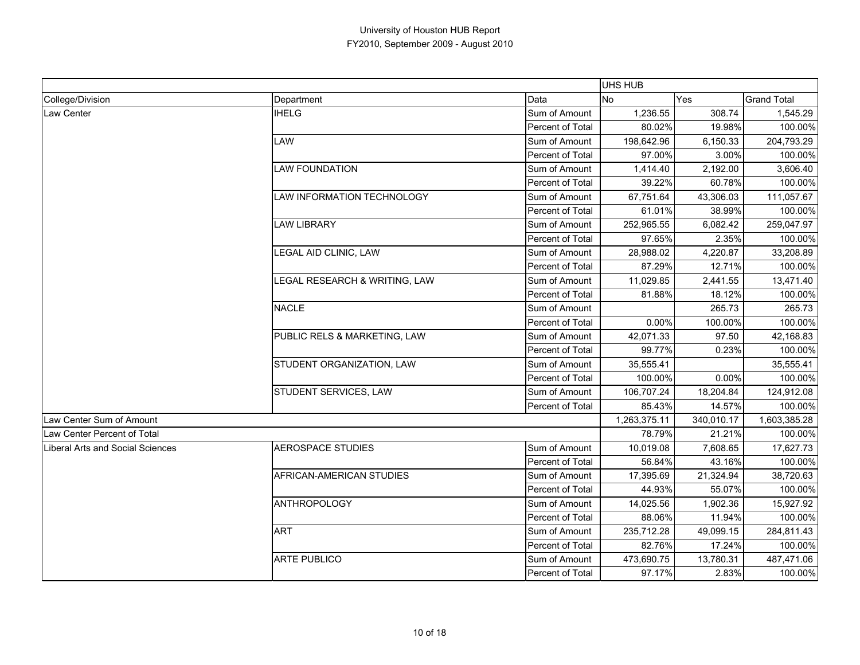|                                         |                               |                  | <b>UHS HUB</b> |            |                    |
|-----------------------------------------|-------------------------------|------------------|----------------|------------|--------------------|
| College/Division                        | Department                    | Data             | <b>No</b>      | Yes        | <b>Grand Total</b> |
| Law Center                              | <b>IHELG</b>                  | Sum of Amount    | 1,236.55       | 308.74     | 1,545.29           |
|                                         |                               | Percent of Total | 80.02%         | 19.98%     | 100.00%            |
|                                         | LAW                           | Sum of Amount    | 198,642.96     | 6,150.33   | 204,793.29         |
|                                         |                               | Percent of Total | 97.00%         | 3.00%      | 100.00%            |
|                                         | <b>LAW FOUNDATION</b>         | Sum of Amount    | 1,414.40       | 2,192.00   | 3,606.40           |
|                                         |                               | Percent of Total | 39.22%         | 60.78%     | 100.00%            |
|                                         | LAW INFORMATION TECHNOLOGY    | Sum of Amount    | 67,751.64      | 43,306.03  | 111,057.67         |
|                                         |                               | Percent of Total | 61.01%         | 38.99%     | 100.00%            |
|                                         | <b>LAW LIBRARY</b>            | Sum of Amount    | 252,965.55     | 6,082.42   | 259,047.97         |
|                                         |                               | Percent of Total | 97.65%         | 2.35%      | 100.00%            |
|                                         | LEGAL AID CLINIC, LAW         | Sum of Amount    | 28,988.02      | 4,220.87   | 33,208.89          |
|                                         |                               | Percent of Total | 87.29%         | 12.71%     | 100.00%            |
|                                         | LEGAL RESEARCH & WRITING, LAW | Sum of Amount    | 11,029.85      | 2,441.55   | 13,471.40          |
|                                         |                               | Percent of Total | 81.88%         | 18.12%     | 100.00%            |
|                                         | <b>NACLE</b>                  | Sum of Amount    |                | 265.73     | 265.73             |
|                                         |                               | Percent of Total | 0.00%          | 100.00%    | 100.00%            |
|                                         | PUBLIC RELS & MARKETING, LAW  | Sum of Amount    | 42,071.33      | 97.50      | 42,168.83          |
|                                         |                               | Percent of Total | 99.77%         | 0.23%      | 100.00%            |
|                                         | STUDENT ORGANIZATION, LAW     | Sum of Amount    | 35,555.41      |            | 35,555.41          |
|                                         |                               | Percent of Total | 100.00%        | 0.00%      | 100.00%            |
|                                         | STUDENT SERVICES, LAW         | Sum of Amount    | 106,707.24     | 18,204.84  | 124,912.08         |
|                                         |                               | Percent of Total | 85.43%         | 14.57%     | 100.00%            |
| Law Center Sum of Amount                |                               |                  | 1,263,375.11   | 340,010.17 | 1,603,385.28       |
| Law Center Percent of Total             |                               |                  | 78.79%         | 21.21%     | 100.00%            |
| <b>Liberal Arts and Social Sciences</b> | <b>AEROSPACE STUDIES</b>      | Sum of Amount    | 10,019.08      | 7,608.65   | 17,627.73          |
|                                         |                               | Percent of Total | 56.84%         | 43.16%     | 100.00%            |
|                                         | AFRICAN-AMERICAN STUDIES      | Sum of Amount    | 17,395.69      | 21,324.94  | 38,720.63          |
|                                         |                               | Percent of Total | 44.93%         | 55.07%     | 100.00%            |
|                                         | <b>ANTHROPOLOGY</b>           | Sum of Amount    | 14,025.56      | 1,902.36   | 15,927.92          |
|                                         |                               | Percent of Total | 88.06%         | 11.94%     | 100.00%            |
|                                         | <b>ART</b>                    | Sum of Amount    | 235,712.28     | 49,099.15  | 284,811.43         |
|                                         |                               | Percent of Total | 82.76%         | 17.24%     | 100.00%            |
|                                         | <b>ARTE PUBLICO</b>           | Sum of Amount    | 473,690.75     | 13,780.31  | 487,471.06         |
|                                         |                               | Percent of Total | 97.17%         | 2.83%      | 100.00%            |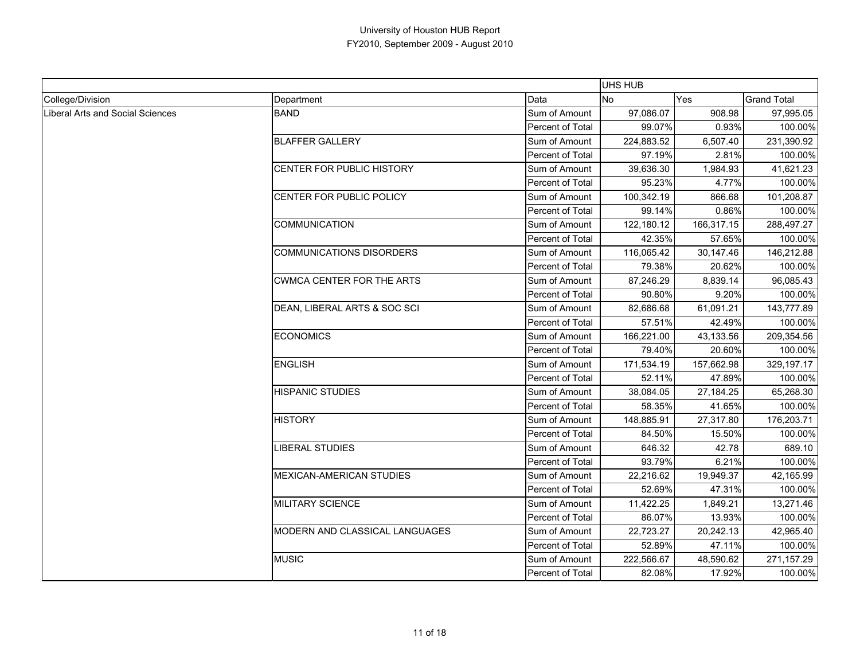|                                         |                                  |                         | <b>UHS HUB</b> |            |                    |
|-----------------------------------------|----------------------------------|-------------------------|----------------|------------|--------------------|
| College/Division                        | Department                       | Data                    | No.            | Yes        | <b>Grand Total</b> |
| <b>Liberal Arts and Social Sciences</b> | <b>BAND</b>                      | Sum of Amount           | 97,086.07      | 908.98     | 97,995.05          |
|                                         |                                  | Percent of Total        | 99.07%         | 0.93%      | 100.00%            |
|                                         | <b>BLAFFER GALLERY</b>           | Sum of Amount           | 224,883.52     | 6,507.40   | 231,390.92         |
|                                         |                                  | Percent of Total        | 97.19%         | 2.81%      | 100.00%            |
|                                         | CENTER FOR PUBLIC HISTORY        | Sum of Amount           | 39,636.30      | 1,984.93   | 41,621.23          |
|                                         |                                  | Percent of Total        | 95.23%         | 4.77%      | 100.00%            |
|                                         | CENTER FOR PUBLIC POLICY         | Sum of Amount           | 100,342.19     | 866.68     | 101,208.87         |
|                                         |                                  | Percent of Total        | 99.14%         | 0.86%      | 100.00%            |
|                                         | <b>COMMUNICATION</b>             | Sum of Amount           | 122,180.12     | 166,317.15 | 288,497.27         |
|                                         |                                  | Percent of Total        | 42.35%         | 57.65%     | 100.00%            |
|                                         | <b>COMMUNICATIONS DISORDERS</b>  | Sum of Amount           | 116,065.42     | 30,147.46  | 146,212.88         |
|                                         |                                  | Percent of Total        | 79.38%         | 20.62%     | 100.00%            |
|                                         | <b>CWMCA CENTER FOR THE ARTS</b> | Sum of Amount           | 87,246.29      | 8,839.14   | 96,085.43          |
|                                         |                                  | Percent of Total        | 90.80%         | 9.20%      | 100.00%            |
|                                         | DEAN, LIBERAL ARTS & SOC SCI     | Sum of Amount           | 82,686.68      | 61,091.21  | 143,777.89         |
|                                         |                                  | Percent of Total        | 57.51%         | 42.49%     | 100.00%            |
|                                         | <b>ECONOMICS</b>                 | Sum of Amount           | 166,221.00     | 43,133.56  | 209,354.56         |
|                                         |                                  | Percent of Total        | 79.40%         | 20.60%     | 100.00%            |
|                                         | <b>ENGLISH</b>                   | Sum of Amount           | 171,534.19     | 157,662.98 | 329,197.17         |
|                                         |                                  | Percent of Total        | 52.11%         | 47.89%     | 100.00%            |
|                                         | <b>HISPANIC STUDIES</b>          | Sum of Amount           | 38,084.05      | 27,184.25  | 65,268.30          |
|                                         |                                  | Percent of Total        | 58.35%         | 41.65%     | 100.00%            |
|                                         | <b>HISTORY</b>                   | Sum of Amount           | 148,885.91     | 27,317.80  | 176,203.71         |
|                                         |                                  | <b>Percent of Total</b> | 84.50%         | 15.50%     | 100.00%            |
|                                         | <b>LIBERAL STUDIES</b>           | Sum of Amount           | 646.32         | 42.78      | 689.10             |
|                                         |                                  | Percent of Total        | 93.79%         | 6.21%      | 100.00%            |
|                                         | MEXICAN-AMERICAN STUDIES         | Sum of Amount           | 22,216.62      | 19,949.37  | 42,165.99          |
|                                         |                                  | Percent of Total        | 52.69%         | 47.31%     | 100.00%            |
|                                         | MILITARY SCIENCE                 | Sum of Amount           | 11,422.25      | 1,849.21   | 13,271.46          |
|                                         |                                  | Percent of Total        | 86.07%         | 13.93%     | 100.00%            |
|                                         | MODERN AND CLASSICAL LANGUAGES   | Sum of Amount           | 22,723.27      | 20,242.13  | 42,965.40          |
|                                         |                                  | Percent of Total        | 52.89%         | 47.11%     | 100.00%            |
|                                         | <b>MUSIC</b>                     | Sum of Amount           | 222,566.67     | 48,590.62  | 271,157.29         |
|                                         |                                  | Percent of Total        | 82.08%         | 17.92%     | 100.00%            |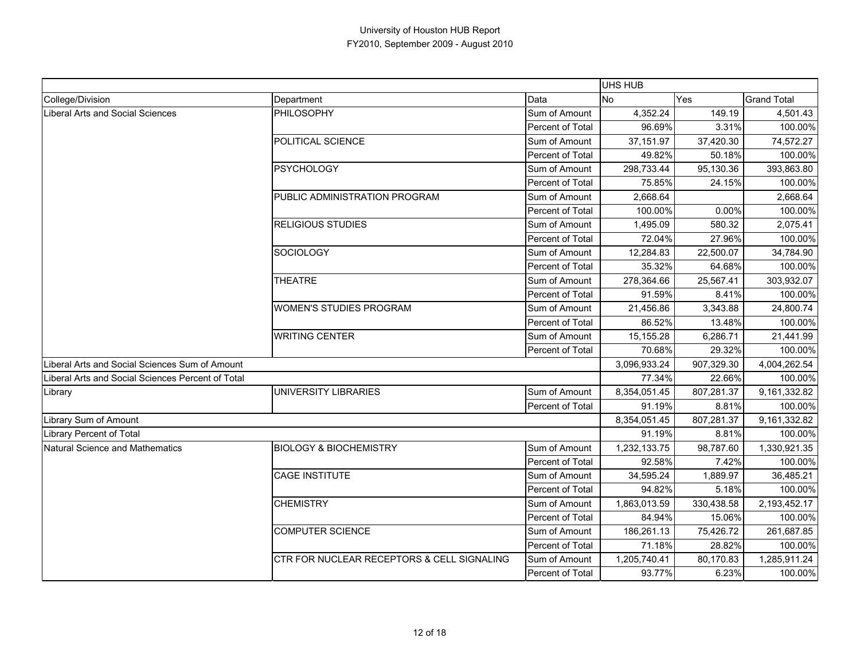|                                                   |                                            |                         | <b>UHS HUB</b> |            |                    |
|---------------------------------------------------|--------------------------------------------|-------------------------|----------------|------------|--------------------|
| College/Division                                  | Department                                 | Data                    | No.            | Yes        | <b>Grand Total</b> |
| Liberal Arts and Social Sciences                  | <b>PHILOSOPHY</b>                          | Sum of Amount           | 4,352.24       | 149.19     | 4,501.43           |
|                                                   |                                            | Percent of Total        | 96.69%         | 3.31%      | 100.00%            |
|                                                   | POLITICAL SCIENCE                          | Sum of Amount           | 37,151.97      | 37,420.30  | 74,572.27          |
|                                                   |                                            | <b>Percent of Total</b> | 49.82%         | 50.18%     | 100.00%            |
|                                                   | <b>PSYCHOLOGY</b>                          | Sum of Amount           | 298,733.44     | 95,130.36  | 393,863.80         |
|                                                   |                                            | Percent of Total        | 75.85%         | 24.15%     | 100.00%            |
|                                                   | PUBLIC ADMINISTRATION PROGRAM              | Sum of Amount           | 2,668.64       |            | 2,668.64           |
|                                                   |                                            | Percent of Total        | 100.00%        | 0.00%      | 100.00%            |
|                                                   | <b>RELIGIOUS STUDIES</b>                   | Sum of Amount           | 1,495.09       | 580.32     | 2,075.41           |
|                                                   |                                            | Percent of Total        | 72.04%         | 27.96%     | 100.00%            |
|                                                   | SOCIOLOGY                                  | Sum of Amount           | 12,284.83      | 22,500.07  | 34,784.90          |
|                                                   |                                            | Percent of Total        | 35.32%         | 64.68%     | 100.00%            |
|                                                   | <b>THEATRE</b>                             | Sum of Amount           | 278,364.66     | 25,567.41  | 303,932.07         |
|                                                   |                                            | Percent of Total        | 91.59%         | 8.41%      | 100.00%            |
|                                                   | <b>WOMEN'S STUDIES PROGRAM</b>             | Sum of Amount           | 21,456.86      | 3,343.88   | 24,800.74          |
|                                                   |                                            | Percent of Total        | 86.52%         | 13.48%     | 100.00%            |
|                                                   | <b>WRITING CENTER</b>                      | Sum of Amount           | 15,155.28      | 6,286.71   | 21,441.99          |
|                                                   |                                            | Percent of Total        | 70.68%         | 29.32%     | 100.00%            |
| Liberal Arts and Social Sciences Sum of Amount    |                                            |                         | 3,096,933.24   | 907,329.30 | 4,004,262.54       |
| Liberal Arts and Social Sciences Percent of Total |                                            |                         | 77.34%         | 22.66%     | 100.00%            |
| Library                                           | UNIVERSITY LIBRARIES                       | Sum of Amount           | 8,354,051.45   | 807,281.37 | 9,161,332.82       |
|                                                   |                                            | Percent of Total        | 91.19%         | 8.81%      | 100.00%            |
| Library Sum of Amount                             |                                            |                         | 8,354,051.45   | 807,281.37 | 9,161,332.82       |
| Library Percent of Total                          |                                            |                         | 91.19%         | 8.81%      | 100.00%            |
| Natural Science and Mathematics                   | <b>BIOLOGY &amp; BIOCHEMISTRY</b>          | Sum of Amount           | 1,232,133.75   | 98,787.60  | 1,330,921.35       |
|                                                   |                                            | Percent of Total        | 92.58%         | 7.42%      | 100.00%            |
|                                                   | <b>CAGE INSTITUTE</b>                      | Sum of Amount           | 34,595.24      | 1,889.97   | 36,485.21          |
|                                                   |                                            | Percent of Total        | 94.82%         | 5.18%      | 100.00%            |
|                                                   | <b>CHEMISTRY</b>                           | Sum of Amount           | 1,863,013.59   | 330,438.58 | 2,193,452.17       |
|                                                   |                                            | Percent of Total        | 84.94%         | 15.06%     | 100.00%            |
|                                                   | <b>COMPUTER SCIENCE</b>                    | Sum of Amount           | 186,261.13     | 75,426.72  | 261,687.85         |
|                                                   |                                            | Percent of Total        | 71.18%         | 28.82%     | 100.00%            |
|                                                   | CTR FOR NUCLEAR RECEPTORS & CELL SIGNALING | Sum of Amount           | 1,205,740.41   | 80,170.83  | 1,285,911.24       |
|                                                   |                                            | Percent of Total        | 93.77%         | 6.23%      | 100.00%            |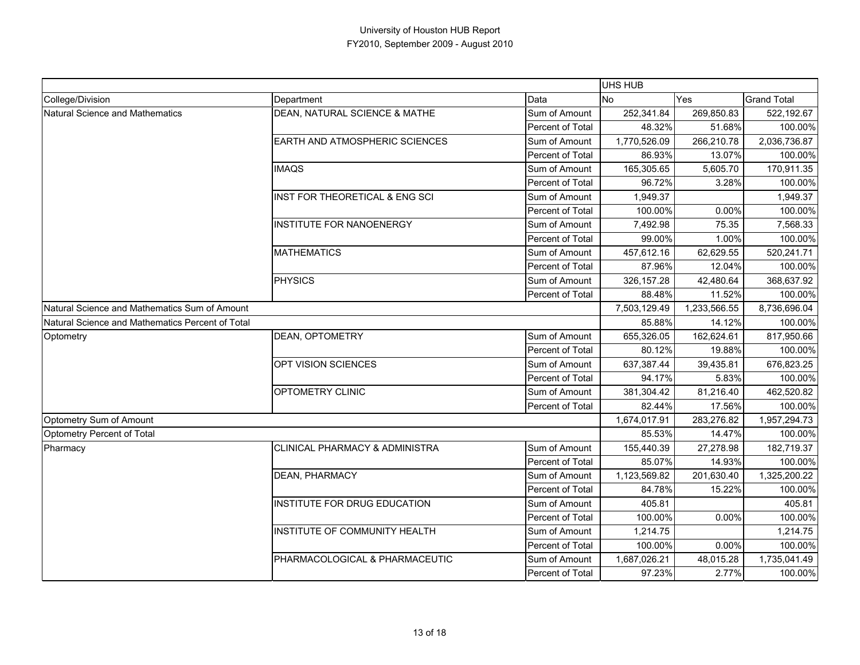|                                                  |                                           |                  | <b>UHS HUB</b> |              |                    |
|--------------------------------------------------|-------------------------------------------|------------------|----------------|--------------|--------------------|
| College/Division                                 | Department                                | Data             | <b>No</b>      | Yes          | <b>Grand Total</b> |
| Natural Science and Mathematics                  | DEAN, NATURAL SCIENCE & MATHE             | Sum of Amount    | 252,341.84     | 269,850.83   | 522,192.67         |
|                                                  |                                           | Percent of Total | 48.32%         | 51.68%       | 100.00%            |
|                                                  | EARTH AND ATMOSPHERIC SCIENCES            | Sum of Amount    | 1,770,526.09   | 266,210.78   | 2,036,736.87       |
|                                                  |                                           | Percent of Total | 86.93%         | 13.07%       | 100.00%            |
|                                                  | <b>IMAQS</b>                              | Sum of Amount    | 165,305.65     | 5,605.70     | 170,911.35         |
|                                                  |                                           | Percent of Total | 96.72%         | 3.28%        | 100.00%            |
|                                                  | INST FOR THEORETICAL & ENG SCI            | Sum of Amount    | 1,949.37       |              | 1,949.37           |
|                                                  |                                           | Percent of Total | 100.00%        | 0.00%        | 100.00%            |
|                                                  | <b>INSTITUTE FOR NANOENERGY</b>           | Sum of Amount    | 7,492.98       | 75.35        | 7,568.33           |
|                                                  |                                           | Percent of Total | 99.00%         | 1.00%        | 100.00%            |
|                                                  | <b>MATHEMATICS</b>                        | Sum of Amount    | 457,612.16     | 62,629.55    | 520,241.71         |
|                                                  |                                           | Percent of Total | 87.96%         | 12.04%       | 100.00%            |
|                                                  | PHYSICS                                   | Sum of Amount    | 326, 157.28    | 42,480.64    | 368,637.92         |
|                                                  |                                           | Percent of Total | 88.48%         | 11.52%       | 100.00%            |
| Natural Science and Mathematics Sum of Amount    |                                           |                  | 7,503,129.49   | 1,233,566.55 | 8,736,696.04       |
| Natural Science and Mathematics Percent of Total |                                           |                  | 85.88%         | 14.12%       | 100.00%            |
| Optometry                                        | <b>DEAN, OPTOMETRY</b>                    | Sum of Amount    | 655,326.05     | 162,624.61   | 817,950.66         |
|                                                  |                                           | Percent of Total | 80.12%         | 19.88%       | 100.00%            |
|                                                  | OPT VISION SCIENCES                       | Sum of Amount    | 637,387.44     | 39,435.81    | 676,823.25         |
|                                                  |                                           | Percent of Total | 94.17%         | 5.83%        | 100.00%            |
|                                                  | OPTOMETRY CLINIC                          | Sum of Amount    | 381,304.42     | 81,216.40    | 462,520.82         |
|                                                  |                                           | Percent of Total | 82.44%         | 17.56%       | 100.00%            |
| Optometry Sum of Amount                          |                                           |                  | 1,674,017.91   | 283,276.82   | 1,957,294.73       |
| Optometry Percent of Total                       |                                           |                  | 85.53%         | 14.47%       | 100.00%            |
| Pharmacy                                         | <b>CLINICAL PHARMACY &amp; ADMINISTRA</b> | Sum of Amount    | 155,440.39     | 27,278.98    | 182,719.37         |
|                                                  |                                           | Percent of Total | 85.07%         | 14.93%       | 100.00%            |
|                                                  | <b>DEAN, PHARMACY</b>                     | Sum of Amount    | 1,123,569.82   | 201,630.40   | 1,325,200.22       |
|                                                  |                                           | Percent of Total | 84.78%         | 15.22%       | 100.00%            |
|                                                  | INSTITUTE FOR DRUG EDUCATION              | Sum of Amount    | 405.81         |              | 405.81             |
|                                                  |                                           | Percent of Total | 100.00%        | 0.00%        | 100.00%            |
|                                                  | INSTITUTE OF COMMUNITY HEALTH             | Sum of Amount    | 1,214.75       |              | 1,214.75           |
|                                                  |                                           | Percent of Total | 100.00%        | 0.00%        | 100.00%            |
|                                                  | PHARMACOLOGICAL & PHARMACEUTIC            | Sum of Amount    | 1,687,026.21   | 48,015.28    | 1,735,041.49       |
|                                                  |                                           | Percent of Total | 97.23%         | 2.77%        | 100.00%            |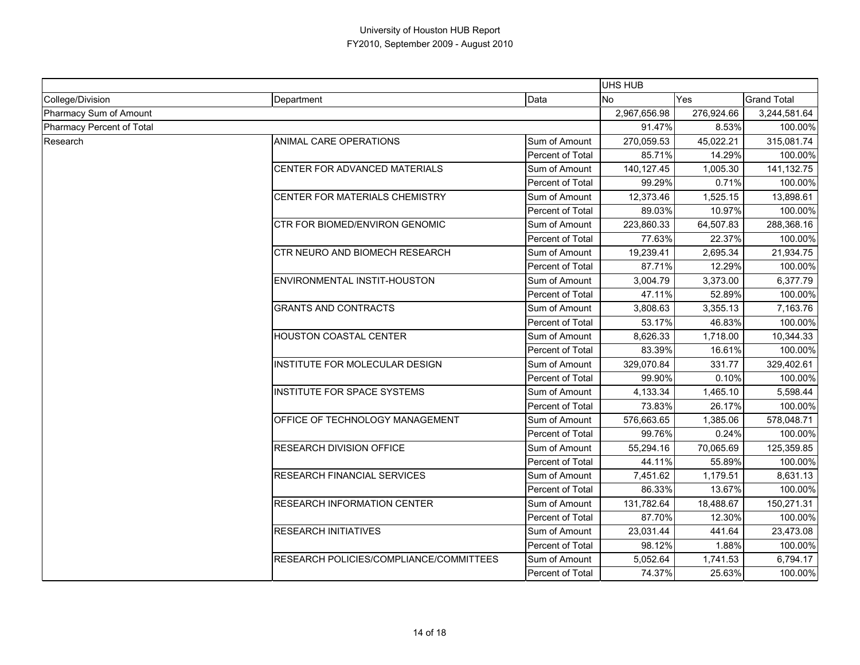|                           |                                         |                         | <b>UHS HUB</b> |              |                    |
|---------------------------|-----------------------------------------|-------------------------|----------------|--------------|--------------------|
| College/Division          | Department                              | Data                    | No             | Yes          | <b>Grand Total</b> |
| Pharmacy Sum of Amount    |                                         | 2,967,656.98            | 276,924.66     | 3,244,581.64 |                    |
| Pharmacy Percent of Total |                                         |                         | 91.47%         | 8.53%        | 100.00%            |
| Research                  | ANIMAL CARE OPERATIONS                  | Sum of Amount           | 270,059.53     | 45,022.21    | 315,081.74         |
|                           |                                         | Percent of Total        | 85.71%         | 14.29%       | 100.00%            |
|                           | CENTER FOR ADVANCED MATERIALS           | Sum of Amount           | 140,127.45     | 1,005.30     | 141,132.75         |
|                           |                                         | Percent of Total        | 99.29%         | 0.71%        | 100.00%            |
|                           | CENTER FOR MATERIALS CHEMISTRY          | Sum of Amount           | 12,373.46      | 1,525.15     | 13,898.61          |
|                           |                                         | Percent of Total        | 89.03%         | 10.97%       | 100.00%            |
|                           | CTR FOR BIOMED/ENVIRON GENOMIC          | Sum of Amount           | 223,860.33     | 64,507.83    | 288,368.16         |
|                           |                                         | Percent of Total        | 77.63%         | 22.37%       | 100.00%            |
|                           | CTR NEURO AND BIOMECH RESEARCH          | Sum of Amount           | 19,239.41      | 2,695.34     | 21,934.75          |
|                           |                                         | Percent of Total        | 87.71%         | 12.29%       | 100.00%            |
|                           | ENVIRONMENTAL INSTIT-HOUSTON            | Sum of Amount           | 3,004.79       | 3,373.00     | 6,377.79           |
|                           |                                         | Percent of Total        | 47.11%         | 52.89%       | 100.00%            |
|                           | <b>GRANTS AND CONTRACTS</b>             | Sum of Amount           | 3,808.63       | 3,355.13     | 7,163.76           |
|                           |                                         | Percent of Total        | 53.17%         | 46.83%       | 100.00%            |
|                           | <b>HOUSTON COASTAL CENTER</b>           | Sum of Amount           | 8,626.33       | 1,718.00     | 10,344.33          |
|                           |                                         | Percent of Total        | 83.39%         | 16.61%       | 100.00%            |
|                           | INSTITUTE FOR MOLECULAR DESIGN          | Sum of Amount           | 329,070.84     | 331.77       | 329,402.61         |
|                           |                                         | <b>Percent of Total</b> | 99.90%         | 0.10%        | 100.00%            |
|                           | INSTITUTE FOR SPACE SYSTEMS             | Sum of Amount           | 4,133.34       | 1,465.10     | 5,598.44           |
|                           |                                         | Percent of Total        | 73.83%         | 26.17%       | 100.00%            |
|                           | OFFICE OF TECHNOLOGY MANAGEMENT         | Sum of Amount           | 576,663.65     | 1,385.06     | 578,048.71         |
|                           |                                         | Percent of Total        | 99.76%         | 0.24%        | 100.00%            |
|                           | RESEARCH DIVISION OFFICE                | Sum of Amount           | 55,294.16      | 70,065.69    | 125,359.85         |
|                           |                                         | Percent of Total        | 44.11%         | 55.89%       | 100.00%            |
|                           | RESEARCH FINANCIAL SERVICES             | Sum of Amount           | 7,451.62       | 1,179.51     | 8,631.13           |
|                           |                                         | Percent of Total        | 86.33%         | 13.67%       | 100.00%            |
|                           | <b>RESEARCH INFORMATION CENTER</b>      | Sum of Amount           | 131,782.64     | 18,488.67    | 150,271.31         |
|                           |                                         | Percent of Total        | 87.70%         | 12.30%       | 100.00%            |
|                           | <b>RESEARCH INITIATIVES</b>             | Sum of Amount           | 23,031.44      | 441.64       | 23,473.08          |
|                           |                                         | Percent of Total        | 98.12%         | 1.88%        | 100.00%            |
|                           | RESEARCH POLICIES/COMPLIANCE/COMMITTEES | Sum of Amount           | 5,052.64       | 1,741.53     | 6,794.17           |
|                           |                                         | Percent of Total        | 74.37%         | 25.63%       | 100.00%            |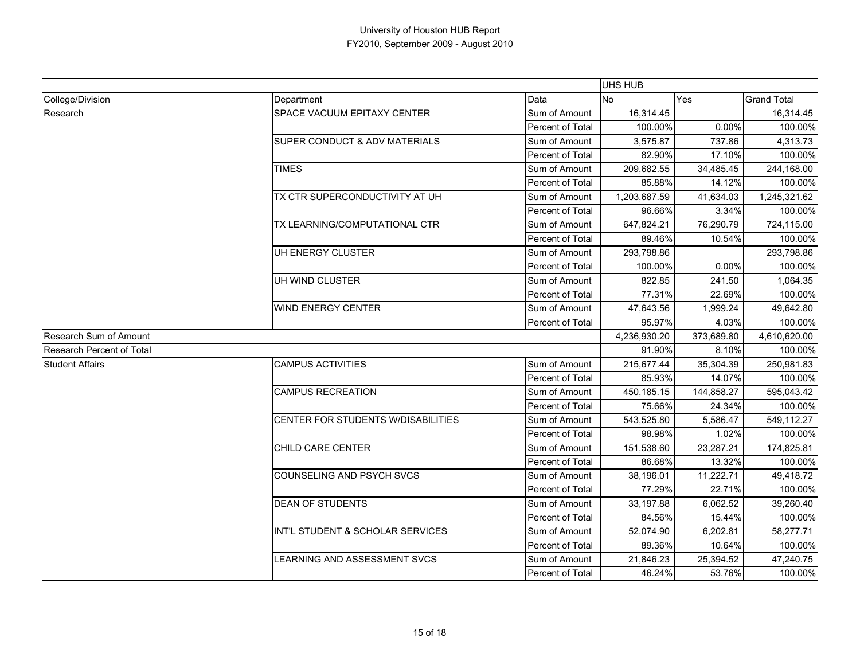|                           |                                          |                  | <b>UHS HUB</b> |            |                    |
|---------------------------|------------------------------------------|------------------|----------------|------------|--------------------|
| College/Division          | Department                               | Data             | <b>No</b>      | Yes        | <b>Grand Total</b> |
| Research                  | SPACE VACUUM EPITAXY CENTER              | Sum of Amount    | 16,314.45      |            | 16,314.45          |
|                           |                                          | Percent of Total | 100.00%        | 0.00%      | 100.00%            |
|                           | <b>SUPER CONDUCT &amp; ADV MATERIALS</b> | Sum of Amount    | 3,575.87       | 737.86     | 4,313.73           |
|                           |                                          | Percent of Total | 82.90%         | 17.10%     | 100.00%            |
|                           | <b>TIMES</b>                             | Sum of Amount    | 209,682.55     | 34,485.45  | 244,168.00         |
|                           |                                          | Percent of Total | 85.88%         | 14.12%     | 100.00%            |
|                           | TX CTR SUPERCONDUCTIVITY AT UH           | Sum of Amount    | 1,203,687.59   | 41,634.03  | 1,245,321.62       |
|                           |                                          | Percent of Total | 96.66%         | 3.34%      | 100.00%            |
|                           | TX LEARNING/COMPUTATIONAL CTR            | Sum of Amount    | 647,824.21     | 76,290.79  | 724,115.00         |
|                           |                                          | Percent of Total | 89.46%         | 10.54%     | 100.00%            |
|                           | UH ENERGY CLUSTER                        | Sum of Amount    | 293,798.86     |            | 293,798.86         |
|                           |                                          | Percent of Total | 100.00%        | 0.00%      | 100.00%            |
|                           | UH WIND CLUSTER                          | Sum of Amount    | 822.85         | 241.50     | 1,064.35           |
|                           |                                          | Percent of Total | 77.31%         | 22.69%     | 100.00%            |
|                           | <b>WIND ENERGY CENTER</b>                | Sum of Amount    | 47,643.56      | 1,999.24   | 49,642.80          |
|                           |                                          | Percent of Total | 95.97%         | 4.03%      | 100.00%            |
| Research Sum of Amount    |                                          |                  | 4,236,930.20   | 373,689.80 | 4,610,620.00       |
| Research Percent of Total |                                          | 91.90%           | 8.10%          | 100.00%    |                    |
| <b>Student Affairs</b>    | <b>CAMPUS ACTIVITIES</b>                 | Sum of Amount    | 215,677.44     | 35,304.39  | 250,981.83         |
|                           |                                          | Percent of Total | 85.93%         | 14.07%     | 100.00%            |
|                           | <b>CAMPUS RECREATION</b>                 | Sum of Amount    | 450,185.15     | 144,858.27 | 595,043.42         |
|                           |                                          | Percent of Total | 75.66%         | 24.34%     | 100.00%            |
|                           | CENTER FOR STUDENTS W/DISABILITIES       | Sum of Amount    | 543,525.80     | 5,586.47   | 549,112.27         |
|                           |                                          | Percent of Total | 98.98%         | 1.02%      | 100.00%            |
|                           | CHILD CARE CENTER                        | Sum of Amount    | 151,538.60     | 23,287.21  | 174,825.81         |
|                           |                                          | Percent of Total | 86.68%         | 13.32%     | 100.00%            |
|                           | COUNSELING AND PSYCH SVCS                | Sum of Amount    | 38,196.01      | 11,222.71  | 49,418.72          |
|                           |                                          | Percent of Total | 77.29%         | 22.71%     | 100.00%            |
|                           | <b>DEAN OF STUDENTS</b>                  | Sum of Amount    | 33,197.88      | 6,062.52   | 39,260.40          |
|                           |                                          | Percent of Total | 84.56%         | 15.44%     | 100.00%            |
|                           | INT'L STUDENT & SCHOLAR SERVICES         | Sum of Amount    | 52,074.90      | 6,202.81   | 58,277.71          |
|                           |                                          | Percent of Total | 89.36%         | 10.64%     | 100.00%            |
|                           | LEARNING AND ASSESSMENT SVCS             | Sum of Amount    | 21,846.23      | 25,394.52  | 47,240.75          |
|                           |                                          | Percent of Total | 46.24%         | 53.76%     | 100.00%            |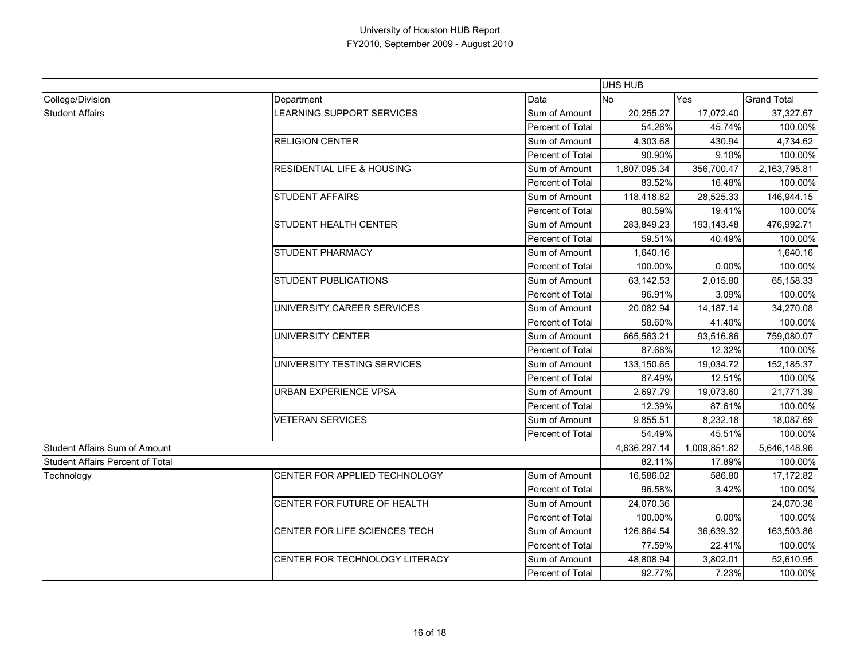|                                  |                                                                                                                                                                                                                                                       |                  | <b>UHS HUB</b> |              |                    |
|----------------------------------|-------------------------------------------------------------------------------------------------------------------------------------------------------------------------------------------------------------------------------------------------------|------------------|----------------|--------------|--------------------|
| College/Division                 | Department                                                                                                                                                                                                                                            | Data             | <b>No</b>      | Yes          | <b>Grand Total</b> |
| <b>Student Affairs</b>           | LEARNING SUPPORT SERVICES                                                                                                                                                                                                                             | Sum of Amount    | 20,255.27      | 17,072.40    | 37,327.67          |
|                                  |                                                                                                                                                                                                                                                       | Percent of Total | 54.26%         | 45.74%       | 100.00%            |
|                                  | <b>RELIGION CENTER</b>                                                                                                                                                                                                                                | Sum of Amount    | 4,303.68       | 430.94       | 4,734.62           |
|                                  |                                                                                                                                                                                                                                                       | Percent of Total | 90.90%         | 9.10%        | 100.00%            |
|                                  | <b>RESIDENTIAL LIFE &amp; HOUSING</b>                                                                                                                                                                                                                 | Sum of Amount    | 1,807,095.34   | 356,700.47   | 2,163,795.81       |
|                                  |                                                                                                                                                                                                                                                       | Percent of Total | 83.52%         | 16.48%       | 100.00%            |
|                                  | <b>STUDENT AFFAIRS</b>                                                                                                                                                                                                                                | Sum of Amount    | 118,418.82     | 28,525.33    | 146,944.15         |
|                                  |                                                                                                                                                                                                                                                       | Percent of Total | 80.59%         | 19.41%       | 100.00%            |
|                                  | STUDENT HEALTH CENTER                                                                                                                                                                                                                                 | Sum of Amount    | 283,849.23     | 193,143.48   | 476,992.71         |
|                                  |                                                                                                                                                                                                                                                       | Percent of Total | 59.51%         | 40.49%       | 100.00%            |
|                                  | <b>STUDENT PHARMACY</b><br>STUDENT PUBLICATIONS<br>UNIVERSITY CAREER SERVICES<br>UNIVERSITY CENTER<br>UNIVERSITY TESTING SERVICES<br>URBAN EXPERIENCE VPSA<br><b>VETERAN SERVICES</b><br>CENTER FOR APPLIED TECHNOLOGY<br>CENTER FOR FUTURE OF HEALTH | Sum of Amount    | 1,640.16       |              | 1,640.16           |
|                                  |                                                                                                                                                                                                                                                       | Percent of Total | 100.00%        | 0.00%        | 100.00%            |
|                                  |                                                                                                                                                                                                                                                       | Sum of Amount    | 63,142.53      | 2,015.80     | 65,158.33          |
|                                  |                                                                                                                                                                                                                                                       | Percent of Total | 96.91%         | 3.09%        | 100.00%            |
|                                  |                                                                                                                                                                                                                                                       | Sum of Amount    | 20,082.94      | 14,187.14    | 34,270.08          |
|                                  |                                                                                                                                                                                                                                                       | Percent of Total | 58.60%         | 41.40%       | 100.00%            |
|                                  |                                                                                                                                                                                                                                                       | Sum of Amount    | 665,563.21     | 93,516.86    | 759,080.07         |
|                                  |                                                                                                                                                                                                                                                       | Percent of Total | 87.68%         | 12.32%       | 100.00%            |
|                                  |                                                                                                                                                                                                                                                       | Sum of Amount    | 133,150.65     | 19,034.72    | 152,185.37         |
|                                  |                                                                                                                                                                                                                                                       | Percent of Total | 87.49%         | 12.51%       | 100.00%            |
|                                  |                                                                                                                                                                                                                                                       | Sum of Amount    | 2,697.79       | 19,073.60    | 21,771.39          |
|                                  |                                                                                                                                                                                                                                                       | Percent of Total | 12.39%         | 87.61%       | 100.00%            |
|                                  |                                                                                                                                                                                                                                                       | Sum of Amount    | 9,855.51       | 8,232.18     | 18,087.69          |
|                                  |                                                                                                                                                                                                                                                       | Percent of Total | 54.49%         | 45.51%       | 100.00%            |
| Student Affairs Sum of Amount    |                                                                                                                                                                                                                                                       |                  | 4,636,297.14   | 1,009,851.82 | 5,646,148.96       |
| Student Affairs Percent of Total |                                                                                                                                                                                                                                                       |                  | 82.11%         | 17.89%       | 100.00%            |
| Technology                       |                                                                                                                                                                                                                                                       | Sum of Amount    | 16,586.02      | 586.80       | 17,172.82          |
|                                  |                                                                                                                                                                                                                                                       | Percent of Total | 96.58%         | 3.42%        | 100.00%            |
|                                  |                                                                                                                                                                                                                                                       | Sum of Amount    | 24,070.36      |              | 24,070.36          |
|                                  |                                                                                                                                                                                                                                                       | Percent of Total | 100.00%        | 0.00%        | 100.00%            |
|                                  | CENTER FOR LIFE SCIENCES TECH                                                                                                                                                                                                                         | Sum of Amount    | 126,864.54     | 36,639.32    | 163,503.86         |
|                                  |                                                                                                                                                                                                                                                       | Percent of Total | 77.59%         | 22.41%       | 100.00%            |
|                                  | CENTER FOR TECHNOLOGY LITERACY                                                                                                                                                                                                                        | Sum of Amount    | 48,808.94      | 3,802.01     | 52,610.95          |
|                                  |                                                                                                                                                                                                                                                       | Percent of Total | 92.77%         | 7.23%        | 100.00%            |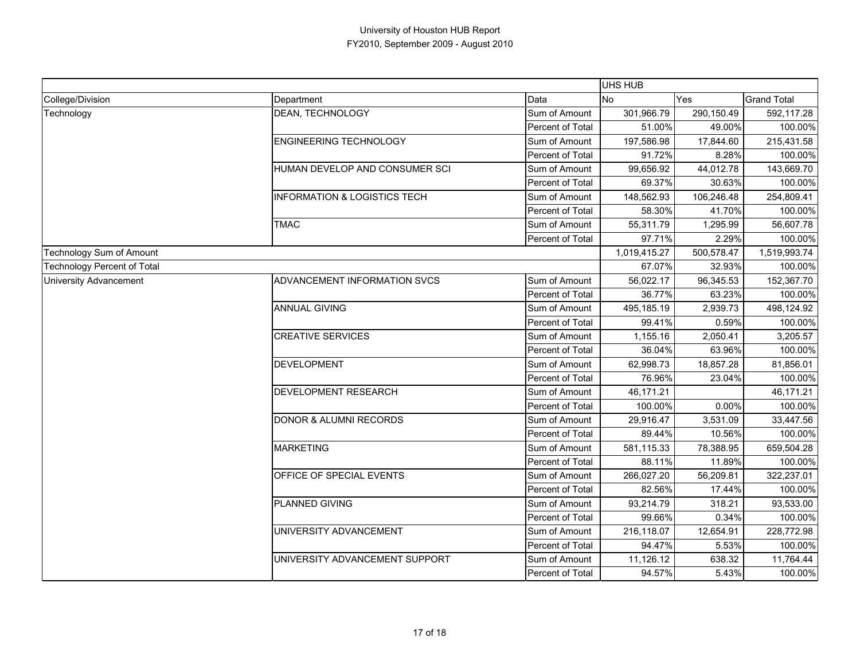|                                    |                                         |                  | UHS HUB      |            |                    |
|------------------------------------|-----------------------------------------|------------------|--------------|------------|--------------------|
| College/Division                   | Department                              | Data             | No.          | Yes        | <b>Grand Total</b> |
| Technology                         | DEAN, TECHNOLOGY                        | Sum of Amount    | 301,966.79   | 290,150.49 | 592,117.28         |
|                                    |                                         | Percent of Total | 51.00%       | 49.00%     | 100.00%            |
|                                    | <b>ENGINEERING TECHNOLOGY</b>           | Sum of Amount    | 197.586.98   | 17,844.60  | 215,431.58         |
|                                    |                                         | Percent of Total | 91.72%       | 8.28%      | 100.00%            |
|                                    | HUMAN DEVELOP AND CONSUMER SCI          | Sum of Amount    | 99,656.92    | 44,012.78  | 143,669.70         |
|                                    |                                         | Percent of Total | 69.37%       | 30.63%     | 100.00%            |
|                                    | <b>INFORMATION &amp; LOGISTICS TECH</b> | Sum of Amount    | 148,562.93   | 106,246.48 | 254,809.41         |
|                                    |                                         | Percent of Total | 58.30%       | 41.70%     | 100.00%            |
|                                    | <b>TMAC</b>                             | Sum of Amount    | 55,311.79    | 1,295.99   | 56,607.78          |
|                                    |                                         | Percent of Total | 97.71%       | 2.29%      | 100.00%            |
| Technology Sum of Amount           |                                         |                  | 1,019,415.27 | 500,578.47 | 1,519,993.74       |
| <b>Technology Percent of Total</b> |                                         |                  | 67.07%       | 32.93%     | 100.00%            |
| <b>University Advancement</b>      | <b>ADVANCEMENT INFORMATION SVCS</b>     | Sum of Amount    | 56,022.17    | 96,345.53  | 152,367.70         |
|                                    |                                         | Percent of Total | 36.77%       | 63.23%     | 100.00%            |
|                                    | <b>ANNUAL GIVING</b>                    | Sum of Amount    | 495,185.19   | 2,939.73   | 498,124.92         |
|                                    |                                         | Percent of Total | 99.41%       | 0.59%      | 100.00%            |
|                                    | <b>CREATIVE SERVICES</b>                | Sum of Amount    | 1,155.16     | 2,050.41   | 3,205.57           |
|                                    |                                         | Percent of Total | 36.04%       | 63.96%     | 100.00%            |
|                                    | <b>DEVELOPMENT</b>                      | Sum of Amount    | 62,998.73    | 18,857.28  | 81,856.01          |
|                                    |                                         | Percent of Total | 76.96%       | 23.04%     | 100.00%            |
|                                    | DEVELOPMENT RESEARCH                    | Sum of Amount    | 46,171.21    |            | 46,171.21          |
|                                    |                                         | Percent of Total | 100.00%      | 0.00%      | 100.00%            |
|                                    | <b>DONOR &amp; ALUMNI RECORDS</b>       | Sum of Amount    | 29,916.47    | 3,531.09   | 33,447.56          |
|                                    |                                         | Percent of Total | 89.44%       | 10.56%     | 100.00%            |
|                                    | <b>MARKETING</b>                        | Sum of Amount    | 581,115.33   | 78,388.95  | 659,504.28         |
|                                    |                                         | Percent of Total | 88.11%       | 11.89%     | 100.00%            |
|                                    | OFFICE OF SPECIAL EVENTS                | Sum of Amount    | 266,027.20   | 56,209.81  | 322,237.01         |
|                                    |                                         | Percent of Total | 82.56%       | 17.44%     | 100.00%            |
|                                    | PLANNED GIVING                          | Sum of Amount    | 93,214.79    | 318.21     | 93,533.00          |
|                                    |                                         | Percent of Total | 99.66%       | 0.34%      | 100.00%            |
|                                    | UNIVERSITY ADVANCEMENT                  | Sum of Amount    | 216,118.07   | 12,654.91  | 228,772.98         |
|                                    |                                         | Percent of Total | 94.47%       | 5.53%      | 100.00%            |
|                                    | UNIVERSITY ADVANCEMENT SUPPORT          | Sum of Amount    | 11,126.12    | 638.32     | 11,764.44          |
|                                    |                                         | Percent of Total | 94.57%       | 5.43%      | 100.00%            |